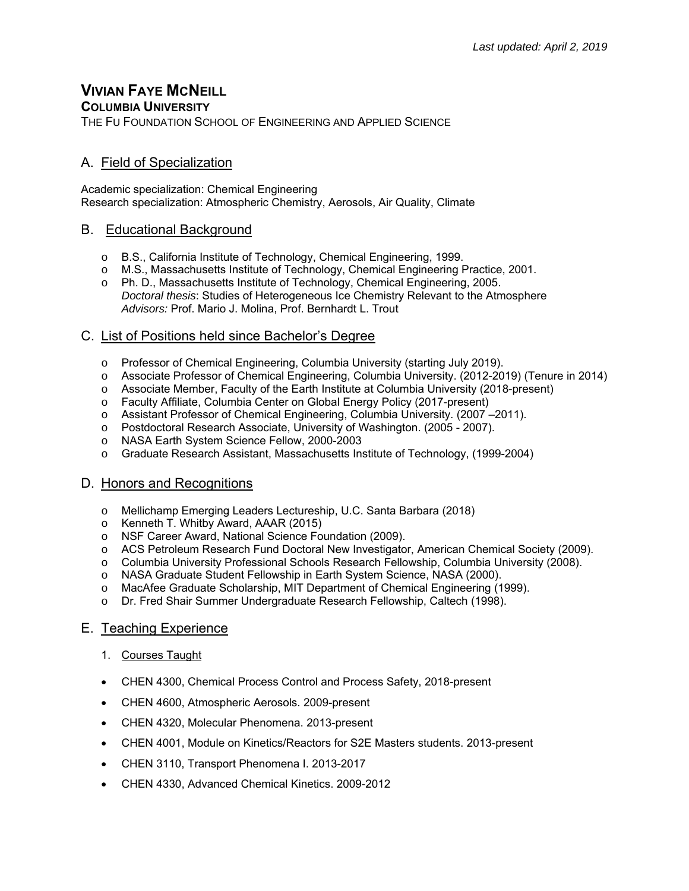# **VIVIAN FAYE MCNEILL**

# **COLUMBIA UNIVERSITY**

THE FU FOUNDATION SCHOOL OF ENGINEERING AND APPLIED SCIENCE

# A. Field of Specialization

Academic specialization: Chemical Engineering Research specialization: Atmospheric Chemistry, Aerosols, Air Quality, Climate

# B. Educational Background

- o B.S., California Institute of Technology, Chemical Engineering, 1999.
- o M.S., Massachusetts Institute of Technology, Chemical Engineering Practice, 2001.
- o Ph. D., Massachusetts Institute of Technology, Chemical Engineering, 2005. *Doctoral thesis*: Studies of Heterogeneous Ice Chemistry Relevant to the Atmosphere *Advisors:* Prof. Mario J. Molina, Prof. Bernhardt L. Trout

# C. List of Positions held since Bachelor's Degree

- o Professor of Chemical Engineering, Columbia University (starting July 2019).
- o Associate Professor of Chemical Engineering, Columbia University. (2012-2019) (Tenure in 2014)
- o Associate Member, Faculty of the Earth Institute at Columbia University (2018-present)
- o Faculty Affiliate, Columbia Center on Global Energy Policy (2017-present)
- o Assistant Professor of Chemical Engineering, Columbia University. (2007 –2011).
- o Postdoctoral Research Associate, University of Washington. (2005 2007).
- o NASA Earth System Science Fellow, 2000-2003
- o Graduate Research Assistant, Massachusetts Institute of Technology, (1999-2004)

## D. Honors and Recognitions

- o Mellichamp Emerging Leaders Lectureship, U.C. Santa Barbara (2018)
- o Kenneth T. Whitby Award, AAAR (2015)
- o NSF Career Award, National Science Foundation (2009).
- o ACS Petroleum Research Fund Doctoral New Investigator, American Chemical Society (2009).
- o Columbia University Professional Schools Research Fellowship, Columbia University (2008).
- o NASA Graduate Student Fellowship in Earth System Science, NASA (2000).
- o MacAfee Graduate Scholarship, MIT Department of Chemical Engineering (1999).
- o Dr. Fred Shair Summer Undergraduate Research Fellowship, Caltech (1998).

# E. Teaching Experience

- 1. Courses Taught
- CHEN 4300, Chemical Process Control and Process Safety, 2018-present
- CHEN 4600, Atmospheric Aerosols. 2009-present
- CHEN 4320, Molecular Phenomena. 2013-present
- CHEN 4001, Module on Kinetics/Reactors for S2E Masters students. 2013-present
- CHEN 3110, Transport Phenomena I. 2013-2017
- CHEN 4330, Advanced Chemical Kinetics. 2009-2012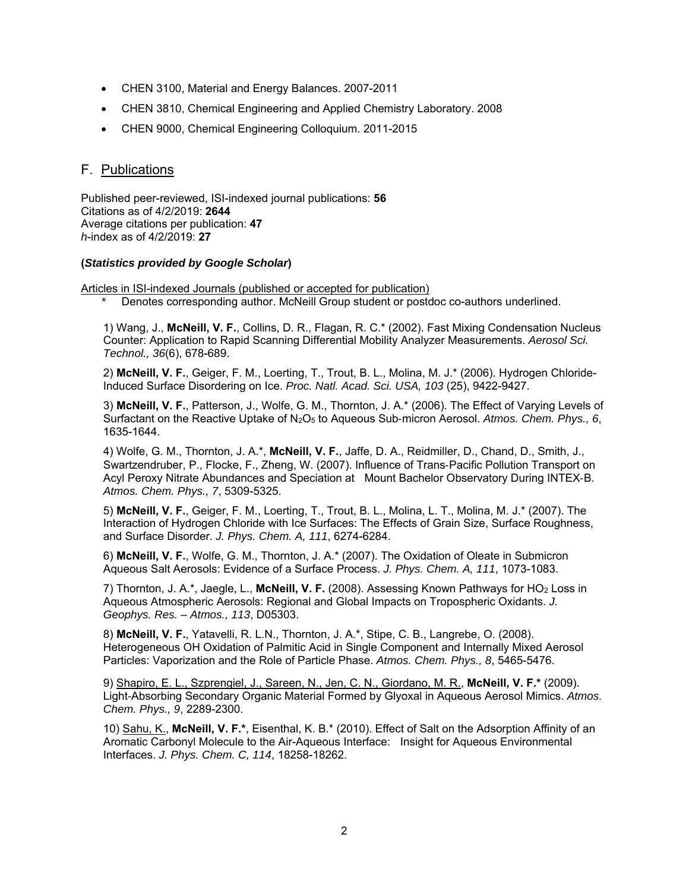- CHEN 3100, Material and Energy Balances. 2007-2011
- CHEN 3810, Chemical Engineering and Applied Chemistry Laboratory. 2008
- CHEN 9000, Chemical Engineering Colloquium. 2011-2015

## F. Publications

Published peer-reviewed, ISI-indexed journal publications: **56**  Citations as of 4/2/2019: **2644** Average citations per publication: **47**  *h*-index as of 4/2/2019: **27** 

#### **(***Statistics provided by Google Scholar***)**

Articles in ISI-indexed Journals (published or accepted for publication) *\** Denotes corresponding author. McNeill Group student or postdoc co-authors underlined.

1) Wang, J., **McNeill, V. F.**, Collins, D. R., Flagan, R. C.\* (2002). Fast Mixing Condensation Nucleus Counter: Application to Rapid Scanning Differential Mobility Analyzer Measurements. *Aerosol Sci. Technol., 36*(6), 678-689.

2) **McNeill, V. F.**, Geiger, F. M., Loerting, T., Trout, B. L., Molina, M. J.\* (2006). Hydrogen Chloride-Induced Surface Disordering on Ice. *Proc. Natl. Acad. Sci. USA, 103* (25), 9422-9427.

3) **McNeill, V. F.**, Patterson, J., Wolfe, G. M., Thornton, J. A.\* (2006). The Effect of Varying Levels of Surfactant on the Reactive Uptake of N<sub>2</sub>O<sub>5</sub> to Aqueous Sub-micron Aerosol. Atmos. Chem. Phys., 6, 1635-1644.

4) Wolfe, G. M., Thornton, J. A.\*, **McNeill, V. F.**, Jaffe, D. A., Reidmiller, D., Chand, D., Smith, J., Swartzendruber, P., Flocke, F., Zheng, W. (2007). Influence of Trans-Pacific Pollution Transport on Acyl Peroxy Nitrate Abundances and Speciation at Mount Bachelor Observatory During INTEX-B. *Atmos. Chem. Phys., 7*, 5309-5325.

5) **McNeill, V. F.**, Geiger, F. M., Loerting, T., Trout, B. L., Molina, L. T., Molina, M. J.\* (2007). The Interaction of Hydrogen Chloride with Ice Surfaces: The Effects of Grain Size, Surface Roughness, and Surface Disorder. *J. Phys. Chem. A, 111*, 6274-6284.

6) **McNeill, V. F.**, Wolfe, G. M., Thornton, J. A.\* (2007). The Oxidation of Oleate in Submicron Aqueous Salt Aerosols: Evidence of a Surface Process. *J. Phys. Chem. A, 111*, 1073-1083.

7) Thornton, J. A.\*, Jaegle, L., **McNeill, V. F.** (2008). Assessing Known Pathways for HO2 Loss in Aqueous Atmospheric Aerosols: Regional and Global Impacts on Tropospheric Oxidants. *J. Geophys. Res. – Atmos., 113*, D05303.

8) **McNeill, V. F.**, Yatavelli, R. L.N., Thornton, J. A.\*, Stipe, C. B., Langrebe, O. (2008). Heterogeneous OH Oxidation of Palmitic Acid in Single Component and Internally Mixed Aerosol Particles: Vaporization and the Role of Particle Phase. *Atmos. Chem. Phys., 8*, 5465-5476.

9) Shapiro, E. L., Szprengiel, J., Sareen, N., Jen, C. N., Giordano, M. R., **McNeill, V. F.\*** (2009). Light-Absorbing Secondary Organic Material Formed by Glyoxal in Aqueous Aerosol Mimics. *Atmos. Chem. Phys., 9*, 2289-2300.

10) Sahu, K., **McNeill, V. F.\***, Eisenthal, K. B.\* (2010). Effect of Salt on the Adsorption Affinity of an Aromatic Carbonyl Molecule to the Air-Aqueous Interface: Insight for Aqueous Environmental Interfaces. *J. Phys. Chem. C, 114*, 18258-18262.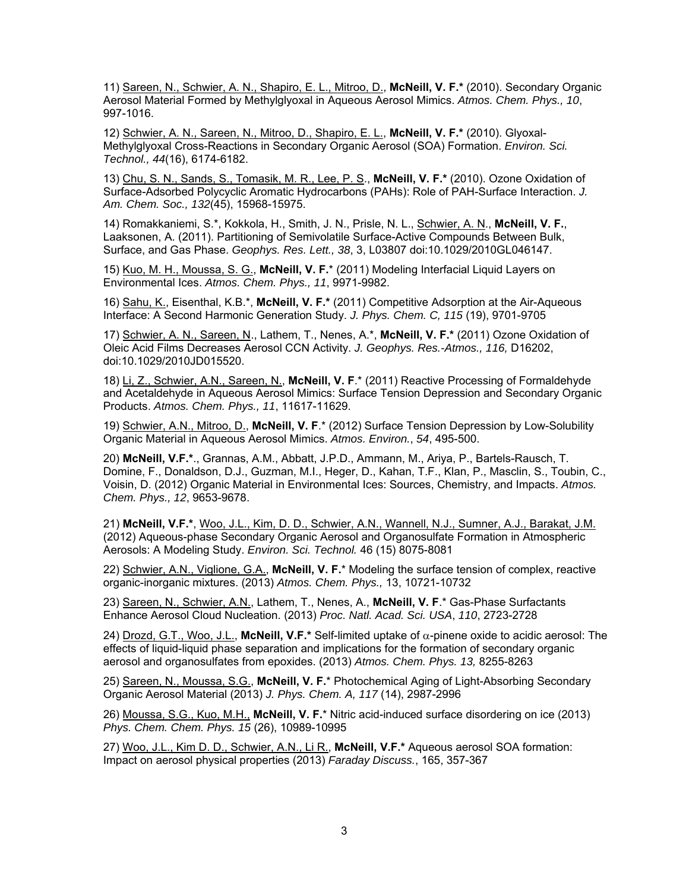11) Sareen, N., Schwier, A. N., Shapiro, E. L., Mitroo, D., **McNeill, V. F.\*** (2010). Secondary Organic Aerosol Material Formed by Methylglyoxal in Aqueous Aerosol Mimics. *Atmos. Chem. Phys., 10*, 997-1016.

12) Schwier, A. N., Sareen, N., Mitroo, D., Shapiro, E. L., **McNeill, V. F.\*** (2010). Glyoxal-Methylglyoxal Cross-Reactions in Secondary Organic Aerosol (SOA) Formation. *Environ. Sci. Technol., 44*(16), 6174-6182.

13) Chu, S. N., Sands, S., Tomasik, M. R., Lee, P. S., **McNeill, V. F.\*** (2010). Ozone Oxidation of Surface-Adsorbed Polycyclic Aromatic Hydrocarbons (PAHs): Role of PAH-Surface Interaction. *J. Am. Chem. Soc., 132*(45), 15968-15975.

14) Romakkaniemi, S.\*, Kokkola, H., Smith, J. N., Prisle, N. L., Schwier, A. N., **McNeill, V. F.**, Laaksonen, A. (2011). Partitioning of Semivolatile Surface-Active Compounds Between Bulk, Surface, and Gas Phase. *Geophys. Res. Lett., 38*, 3, L03807 doi:10.1029/2010GL046147.

15) Kuo, M. H., Moussa, S. G., **McNeill, V. F.**\* (2011) Modeling Interfacial Liquid Layers on Environmental Ices. *Atmos. Chem. Phys., 11*, 9971-9982.

16) Sahu, K., Eisenthal, K.B.\*, **McNeill, V. F.\*** (2011) Competitive Adsorption at the Air-Aqueous Interface: A Second Harmonic Generation Study. *J. Phys. Chem. C, 115* (19), 9701-9705

17) Schwier, A. N., Sareen, N., Lathem, T., Nenes, A.\*, **McNeill, V. F.\*** (2011) Ozone Oxidation of Oleic Acid Films Decreases Aerosol CCN Activity. *J. Geophys. Res.-Atmos., 116,* D16202, doi:10.1029/2010JD015520.

18) Li, Z., Schwier, A.N., Sareen, N., **McNeill, V. F**.\* (2011) Reactive Processing of Formaldehyde and Acetaldehyde in Aqueous Aerosol Mimics: Surface Tension Depression and Secondary Organic Products. *Atmos. Chem. Phys., 11*, 11617-11629.

19) Schwier, A.N., Mitroo, D., **McNeill, V. F**.\* (2012) Surface Tension Depression by Low-Solubility Organic Material in Aqueous Aerosol Mimics. *Atmos. Environ.*, *54*, 495-500.

20) **McNeill, V.F.\***., Grannas, A.M., Abbatt, J.P.D., Ammann, M., Ariya, P., Bartels-Rausch, T. Domine, F., Donaldson, D.J., Guzman, M.I., Heger, D., Kahan, T.F., Klan, P., Masclin, S., Toubin, C., Voisin, D. (2012) Organic Material in Environmental Ices: Sources, Chemistry, and Impacts. *Atmos. Chem. Phys., 12*, 9653-9678.

21) **McNeill, V.F.\***, Woo, J.L., Kim, D. D., Schwier, A.N., Wannell, N.J., Sumner, A.J., Barakat, J.M. (2012) Aqueous-phase Secondary Organic Aerosol and Organosulfate Formation in Atmospheric Aerosols: A Modeling Study. *Environ. Sci. Technol.* 46 (15) 8075-8081

22) Schwier, A.N., Viglione, G.A., **McNeill, V. F.**\* Modeling the surface tension of complex, reactive organic-inorganic mixtures. (2013) *Atmos. Chem. Phys.,* 13, 10721-10732

23) Sareen, N., Schwier, A.N., Lathem, T., Nenes, A., **McNeill, V. F**.\* Gas-Phase Surfactants Enhance Aerosol Cloud Nucleation. (2013) *Proc. Natl. Acad. Sci. USA*, *110*, 2723-2728

24) Drozd, G.T., Woo, J.L., **McNeill, V.F.\*** Self-limited uptake of  $\alpha$ -pinene oxide to acidic aerosol: The effects of liquid-liquid phase separation and implications for the formation of secondary organic aerosol and organosulfates from epoxides. (2013) *Atmos. Chem. Phys. 13,* 8255-8263

25) Sareen, N., Moussa, S.G., **McNeill, V. F.**\* Photochemical Aging of Light-Absorbing Secondary Organic Aerosol Material (2013) *J. Phys. Chem. A, 117* (14), 2987-2996

26) Moussa, S.G., Kuo, M.H., **McNeill, V. F.**\* Nitric acid-induced surface disordering on ice (2013) *Phys. Chem. Chem. Phys. 15* (26), 10989-10995

27) Woo, J.L., Kim D. D., Schwier, A.N., Li R., **McNeill, V.F.\*** Aqueous aerosol SOA formation: Impact on aerosol physical properties (2013) *Faraday Discuss.*, 165, 357-367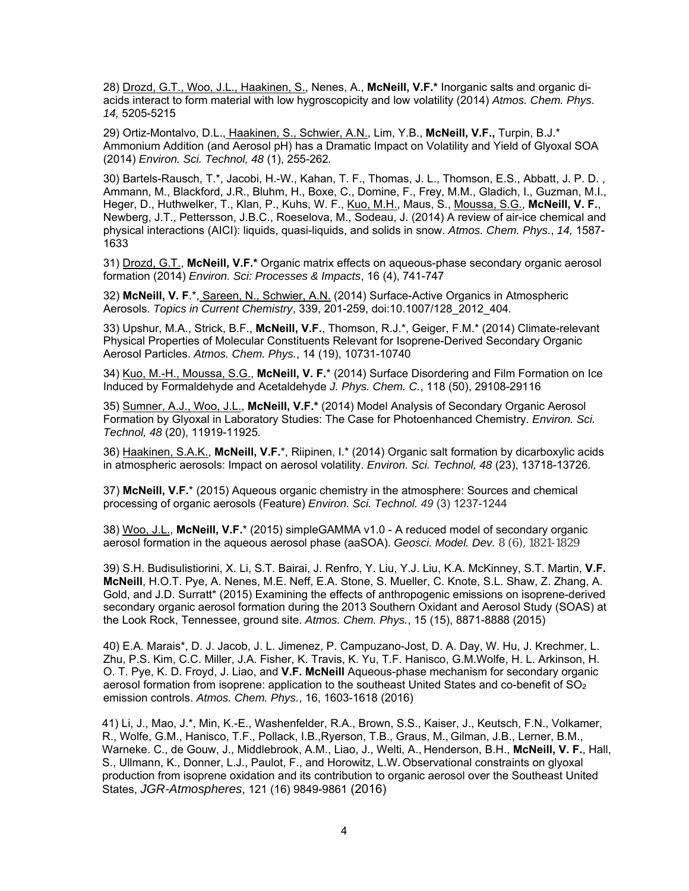28) Drozd, G.T., Woo, J.L., Haakinen, S., Nenes, A., **McNeill, V.F.\*** Inorganic salts and organic diacids interact to form material with low hygroscopicity and low volatility (2014) *Atmos. Chem. Phys. 14,* 5205-5215

29) Ortiz-Montalvo, D.L., Haakinen, S., Schwier, A.N., Lim, Y.B., **McNeill, V.F.,** Turpin, B.J.\* Ammonium Addition (and Aerosol pH) has a Dramatic Impact on Volatility and Yield of Glyoxal SOA (2014) *Environ. Sci. Technol, 48* (1), 255-262*.*

30) Bartels-Rausch, T.\*, Jacobi, H.-W., Kahan, T. F., Thomas, J. L., Thomson, E.S., Abbatt, J. P. D. , Ammann, M., Blackford, J.R., Bluhm, H., Boxe, C., Domine, F., Frey, M.M., Gladich, I., Guzman, M.I., Heger, D., Huthwelker, T., Klan, P., Kuhs, W. F., Kuo, M.H., Maus, S., Moussa, S.G., **McNeill, V. F.**, Newberg, J.T., Pettersson, J.B.C., Roeselova, M., Sodeau, J. (2014) A review of air-ice chemical and physical interactions (AICI): liquids, quasi-liquids, and solids in snow. *Atmos. Chem. Phys.*, *14,* 1587- 1633

31) Drozd, G.T., **McNeill, V.F.\*** Organic matrix effects on aqueous-phase secondary organic aerosol formation (2014) *Environ. Sci: Processes & Impacts*, 16 (4), 741-747

32) **McNeill, V. F**.\*, Sareen, N., Schwier, A.N. (2014) Surface-Active Organics in Atmospheric Aerosols. *Topics in Current Chemistry*, 339, 201-259, doi:10.1007/128\_2012\_404*.* 

33) Upshur, M.A., Strick, B.F., **McNeill, V.F.**, Thomson, R.J.\*, Geiger, F.M.\* (2014) Climate-relevant Physical Properties of Molecular Constituents Relevant for Isoprene-Derived Secondary Organic Aerosol Particles. *Atmos. Chem. Phys.*, 14 (19), 10731-10740

34) Kuo, M.-H., Moussa, S.G., **McNeill, V. F.**\* (2014) Surface Disordering and Film Formation on Ice Induced by Formaldehyde and Acetaldehyde *J. Phys. Chem. C.*, 118 (50), 29108-29116

35) Sumner, A.J., Woo, J.L., **McNeill, V.F.\*** (2014) Model Analysis of Secondary Organic Aerosol Formation by Glyoxal in Laboratory Studies: The Case for Photoenhanced Chemistry. *Environ. Sci. Technol, 48* (20), 11919-11925*.*

36) Haakinen, S.A.K., **McNeill, V.F.**\*, Riipinen, I.\* (2014) Organic salt formation by dicarboxylic acids in atmospheric aerosols: Impact on aerosol volatility. *Environ. Sci. Technol, 48* (23), 13718-13726*.*

37) **McNeill, V.F.**\* (2015) Aqueous organic chemistry in the atmosphere: Sources and chemical processing of organic aerosols (Feature) *Environ. Sci. Technol. 49* (3) 1237-1244

38) Woo, J.L., **McNeill, V.F.**\* (2015) simpleGAMMA v1.0 - A reduced model of secondary organic aerosol formation in the aqueous aerosol phase (aaSOA). *Geosci. Model. Dev.* 8 (6), 1821-1829

39) S.H. Budisulistiorini, X. Li, S.T. Bairai, J. Renfro, Y. Liu, Y.J. Liu, K.A. McKinney, S.T. Martin, **V.F. McNeill**, H.O.T. Pye, A. Nenes, M.E. Neff, E.A. Stone, S. Mueller, C. Knote, S.L. Shaw, Z. Zhang, A. Gold, and J.D. Surratt\* (2015) Examining the effects of anthropogenic emissions on isoprene-derived secondary organic aerosol formation during the 2013 Southern Oxidant and Aerosol Study (SOAS) at the Look Rock, Tennessee, ground site. *Atmos. Chem. Phys.*, 15 (15), 8871-8888 (2015)

40) E.A. Marais\*, D. J. Jacob, J. L. Jimenez, P. Campuzano-Jost, D. A. Day, W. Hu, J. Krechmer, L. Zhu, P.S. Kim, C.C. Miller, J.A. Fisher, K. Travis, K. Yu, T.F. Hanisco, G.M.Wolfe, H. L. Arkinson, H. O. T. Pye, K. D. Froyd, J. Liao, and **V.F. McNeill** Aqueous-phase mechanism for secondary organic aerosol formation from isoprene: application to the southeast United States and  $co-$ benefit of  $SO<sub>2</sub>$ emission controls. *Atmos. Chem. Phys.*, 16, 1603-1618 (2016)

41) Li, J., Mao, J.\*, Min, K.-E., Washenfelder, R.A., Brown, S.S., Kaiser, J., Keutsch, F.N., Volkamer, R., Wolfe, G.M., Hanisco, T.F., Pollack, I.B.,Ryerson, T.B., Graus, M., Gilman, J.B., Lerner, B.M., Warneke. C., de Gouw, J., Middlebrook, A.M., Liao, J., Welti, A., Henderson, B.H., **McNeill, V. F.**, Hall, S., Ullmann, K., Donner, L.J., Paulot, F., and Horowitz, L.W. Observational constraints on glyoxal production from isoprene oxidation and its contribution to organic aerosol over the Southeast United States, *JGR-Atmospheres*, 121 (16) 9849-9861 (2016)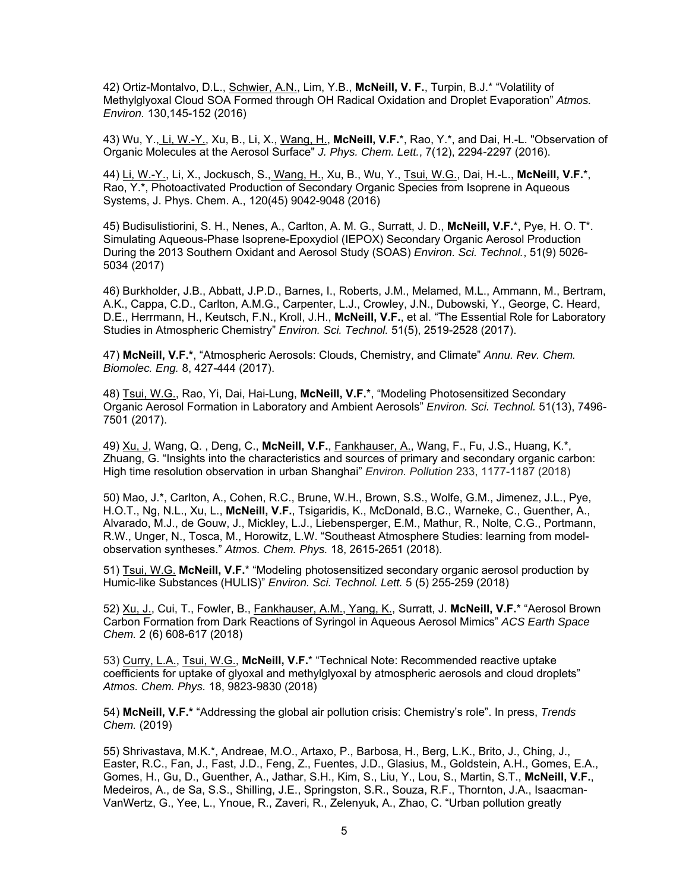42) Ortiz-Montalvo, D.L., Schwier, A.N., Lim, Y.B., **McNeill, V. F.**, Turpin, B.J.\* "Volatility of Methylglyoxal Cloud SOA Formed through OH Radical Oxidation and Droplet Evaporation" *Atmos. Environ.* 130,145-152 (2016)

43) Wu, Y., Li, W.-Y., Xu, B., Li, X., Wang, H., **McNeill, V.F.**\*, Rao, Y.\*, and Dai, H.-L. "Observation of Organic Molecules at the Aerosol Surface" *J. Phys. Chem. Lett.*, 7(12), 2294-2297 (2016).

44) Li, W.-Y., Li, X., Jockusch, S., Wang, H., Xu, B., Wu, Y., Tsui, W.G., Dai, H.-L., **McNeill, V.F.**\*, Rao, Y.\*, Photoactivated Production of Secondary Organic Species from Isoprene in Aqueous Systems, J. Phys. Chem. A., 120(45) 9042-9048 (2016)

45) Budisulistiorini, S. H., Nenes, A., Carlton, A. M. G., Surratt, J. D., **McNeill, V.F.**\*, Pye, H. O. T\*. Simulating Aqueous-Phase Isoprene-Epoxydiol (IEPOX) Secondary Organic Aerosol Production During the 2013 Southern Oxidant and Aerosol Study (SOAS) *Environ. Sci. Technol.*, 51(9) 5026- 5034 (2017)

46) Burkholder, J.B., Abbatt, J.P.D., Barnes, I., Roberts, J.M., Melamed, M.L., Ammann, M., Bertram, A.K., Cappa, C.D., Carlton, A.M.G., Carpenter, L.J., Crowley, J.N., Dubowski, Y., George, C. Heard, D.E., Herrmann, H., Keutsch, F.N., Kroll, J.H., **McNeill, V.F.**, et al. "The Essential Role for Laboratory Studies in Atmospheric Chemistry" *Environ. Sci. Technol.* 51(5), 2519-2528 (2017).

47) **McNeill, V.F.\***, "Atmospheric Aerosols: Clouds, Chemistry, and Climate" *Annu. Rev. Chem. Biomolec. Eng.* 8, 427-444 (2017).

48) Tsui, W.G., Rao, Yi, Dai, Hai-Lung, **McNeill, V.F.**\*, "Modeling Photosensitized Secondary Organic Aerosol Formation in Laboratory and Ambient Aerosols" *Environ. Sci. Technol.* 51(13), 7496- 7501 (2017).

49) Xu, J, Wang, Q. , Deng, C., **McNeill, V.F.**, Fankhauser, A., Wang, F., Fu, J.S., Huang, K.\*, Zhuang, G. "Insights into the characteristics and sources of primary and secondary organic carbon: High time resolution observation in urban Shanghai" *Environ. Pollution* 233, 1177-1187 (2018)

50) Mao, J.\*, Carlton, A., Cohen, R.C., Brune, W.H., Brown, S.S., Wolfe, G.M., Jimenez, J.L., Pye, H.O.T., Ng, N.L., Xu, L., **McNeill, V.F.**, Tsigaridis, K., McDonald, B.C., Warneke, C., Guenther, A., Alvarado, M.J., de Gouw, J., Mickley, L.J., Liebensperger, E.M., Mathur, R., Nolte, C.G., Portmann, R.W., Unger, N., Tosca, M., Horowitz, L.W. "Southeast Atmosphere Studies: learning from modelobservation syntheses." *Atmos. Chem. Phys.* 18, 2615-2651 (2018).

51) Tsui, W.G. **McNeill, V.F.**\* "Modeling photosensitized secondary organic aerosol production by Humic-like Substances (HULIS)" *Environ. Sci. Technol. Lett.* 5 (5) 255-259 (2018)

52) Xu, J., Cui, T., Fowler, B., Fankhauser, A.M., Yang, K., Surratt, J. **McNeill, V.F.**\* "Aerosol Brown Carbon Formation from Dark Reactions of Syringol in Aqueous Aerosol Mimics" *ACS Earth Space Chem.* 2 (6) 608-617 (2018)

53) Curry, L.A., Tsui, W.G., **McNeill, V.F.**\* "Technical Note: Recommended reactive uptake coefficients for uptake of glyoxal and methylglyoxal by atmospheric aerosols and cloud droplets" *Atmos. Chem. Phys.* 18, 9823-9830 (2018)

54) **McNeill, V.F.\*** "Addressing the global air pollution crisis: Chemistry's role". In press, *Trends Chem.* (2019)

55) Shrivastava, M.K.\*, Andreae, M.O., Artaxo, P., Barbosa, H., Berg, L.K., Brito, J., Ching, J., Easter, R.C., Fan, J., Fast, J.D., Feng, Z., Fuentes, J.D., Glasius, M., Goldstein, A.H., Gomes, E.A., Gomes, H., Gu, D., Guenther, A., Jathar, S.H., Kim, S., Liu, Y., Lou, S., Martin, S.T., **McNeill, V.F.**, Medeiros, A., de Sa, S.S., Shilling, J.E., Springston, S.R., Souza, R.F., Thornton, J.A., Isaacman-VanWertz, G., Yee, L., Ynoue, R., Zaveri, R., Zelenyuk, A., Zhao, C. "Urban pollution greatly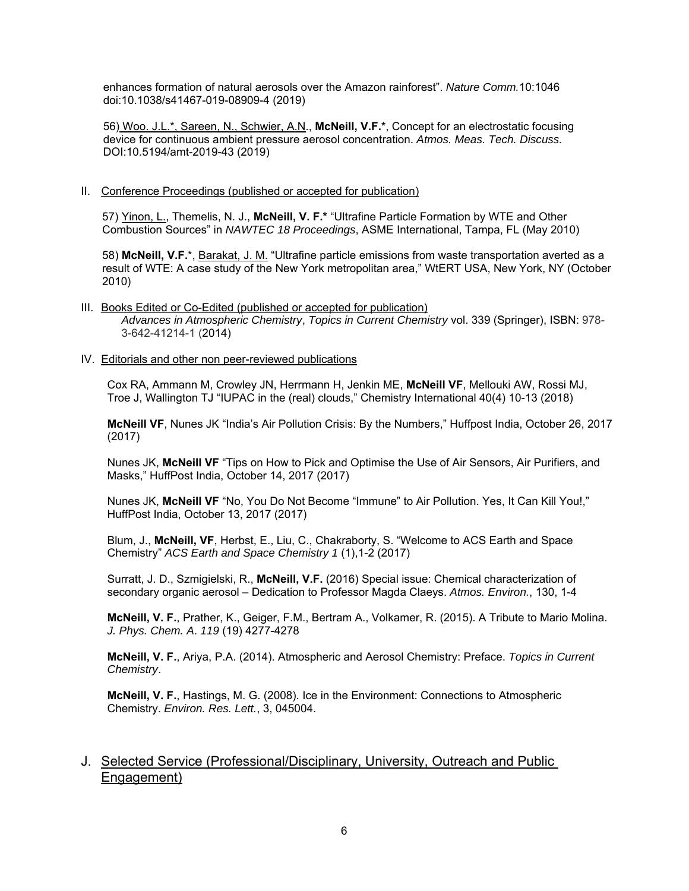enhances formation of natural aerosols over the Amazon rainforest". *Nature Comm.*10:1046 doi:10.1038/s41467-019-08909-4 (2019)

56) Woo. J.L.\*, Sareen, N., Schwier, A.N., **McNeill, V.F.\***, Concept for an electrostatic focusing device for continuous ambient pressure aerosol concentration. *Atmos. Meas. Tech. Discuss.* DOI:10.5194/amt-2019-43 (2019)

II. Conference Proceedings (published or accepted for publication)

57) Yinon, L., Themelis, N. J., **McNeill, V. F.\*** "Ultrafine Particle Formation by WTE and Other Combustion Sources" in *NAWTEC 18 Proceedings*, ASME International, Tampa, FL (May 2010)

58) **McNeill, V.F.**\*, Barakat, J. M. "Ultrafine particle emissions from waste transportation averted as a result of WTE: A case study of the New York metropolitan area," WtERT USA, New York, NY (October 2010)

- III. Books Edited or Co-Edited (published or accepted for publication) *Advances in Atmospheric Chemistry*, *Topics in Current Chemistry* vol. 339 (Springer), ISBN: 978- 3-642-41214-1 (2014)
- IV. Editorials and other non peer-reviewed publications

Cox RA, Ammann M, Crowley JN, Herrmann H, Jenkin ME, **McNeill VF**, Mellouki AW, Rossi MJ, Troe J, Wallington TJ "IUPAC in the (real) clouds," Chemistry International 40(4) 10-13 (2018)

**McNeill VF**, Nunes JK "India's Air Pollution Crisis: By the Numbers," Huffpost India, October 26, 2017 (2017)

Nunes JK, **McNeill VF** "Tips on How to Pick and Optimise the Use of Air Sensors, Air Purifiers, and Masks," HuffPost India, October 14, 2017 (2017)

Nunes JK, **McNeill VF** "No, You Do Not Become "Immune" to Air Pollution. Yes, It Can Kill You!," HuffPost India, October 13, 2017 (2017)

Blum, J., **McNeill, VF**, Herbst, E., Liu, C., Chakraborty, S. "Welcome to ACS Earth and Space Chemistry" *ACS Earth and Space Chemistry 1* (1),1-2 (2017)

Surratt, J. D., Szmigielski, R., **McNeill, V.F.** (2016) Special issue: Chemical characterization of secondary organic aerosol – Dedication to Professor Magda Claeys. *Atmos. Environ.*, 130, 1-4

**McNeill, V. F.**, Prather, K., Geiger, F.M., Bertram A., Volkamer, R. (2015). A Tribute to Mario Molina. *J. Phys. Chem. A*. *119* (19) 4277-4278

**McNeill, V. F.**, Ariya, P.A. (2014). Atmospheric and Aerosol Chemistry: Preface. *Topics in Current Chemistry*.

**McNeill, V. F.**, Hastings, M. G. (2008). Ice in the Environment: Connections to Atmospheric Chemistry. *Environ. Res. Lett.*, 3, 045004.

# J. Selected Service (Professional/Disciplinary, University, Outreach and Public Engagement)